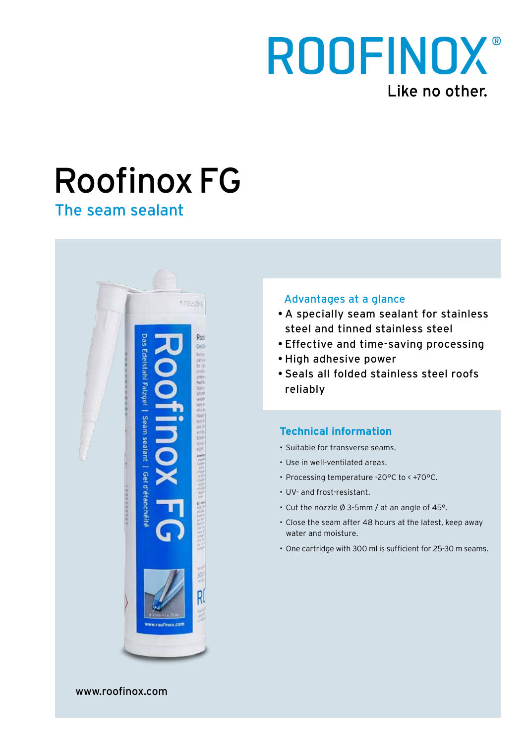

# Roofinox FG

The seam sealant



### Advantages at a glance

- A specially seam sealant for stainless steel and tinned stainless steel
- Effective and time-saving processing
- High adhesive power
- Seals all folded stainless steel roofs reliably

## **Technical information**

- • Suitable for transverse seams.
- Use in well-ventilated areas.
- Processing temperature -20°C to < +70°C.
- UV- and frost-resistant.
- • Cut the nozzle Ø 3-5mm / at an angle of 45°.
- • Close the seam after 48 hours at the latest, keep away water and moisture.
- • One cartridge with 300 ml is sufficient for 25-30 m seams.

www.roofinox.com